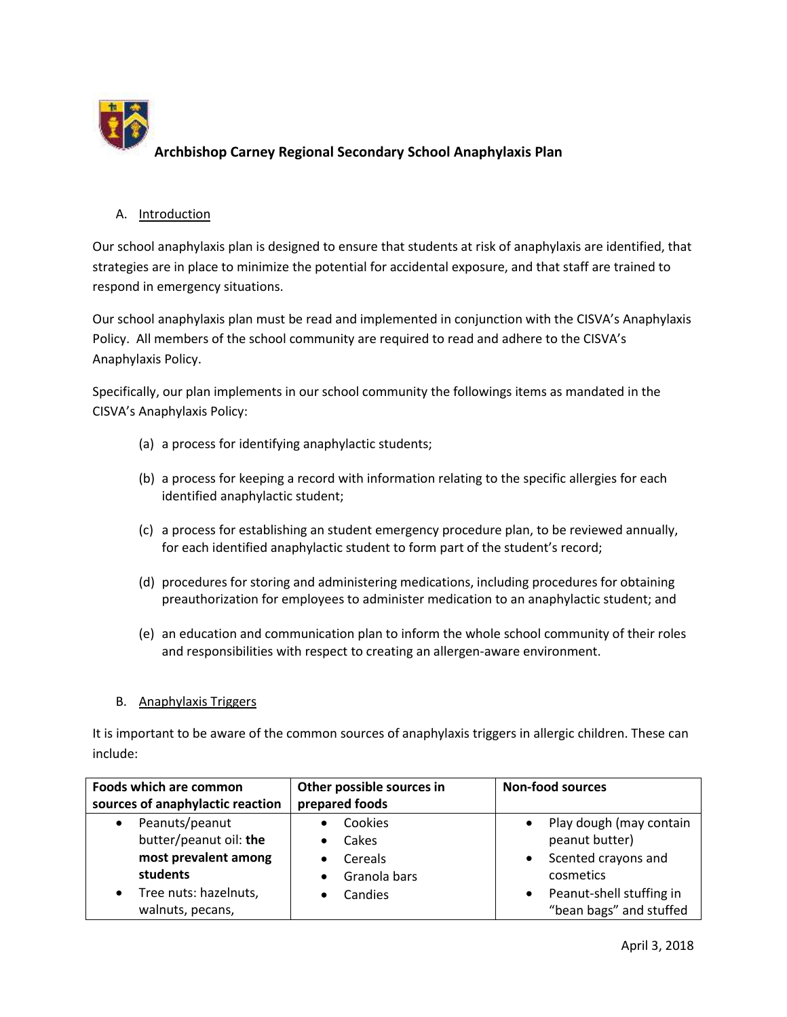

# A. Introduction

Our school anaphylaxis plan is designed to ensure that students at risk of anaphylaxis are identified, that strategies are in place to minimize the potential for accidental exposure, and that staff are trained to respond in emergency situations.

Our school anaphylaxis plan must be read and implemented in conjunction with the CISVA's Anaphylaxis Policy. All members of the school community are required to read and adhere to the CISVA's Anaphylaxis Policy.

Specifically, our plan implements in our school community the followings items as mandated in the CISVA's Anaphylaxis Policy:

- (a) a process for identifying anaphylactic students;
- (b) a process for keeping a record with information relating to the specific allergies for each identified anaphylactic student;
- (c) a process for establishing an student emergency procedure plan, to be reviewed annually, for each identified anaphylactic student to form part of the student's record;
- (d) procedures for storing and administering medications, including procedures for obtaining preauthorization for employees to administer medication to an anaphylactic student; and
- (e) an education and communication plan to inform the whole school community of their roles and responsibilities with respect to creating an allergen-aware environment.

### B. Anaphylaxis Triggers

It is important to be aware of the common sources of anaphylaxis triggers in allergic children. These can include:

| Foods which are common           | Other possible sources in | <b>Non-food sources</b>               |  |
|----------------------------------|---------------------------|---------------------------------------|--|
| sources of anaphylactic reaction | prepared foods            |                                       |  |
| Peanuts/peanut<br>$\bullet$      | Cookies                   | Play dough (may contain<br>$\bullet$  |  |
| butter/peanut oil: the           | Cakes                     | peanut butter)                        |  |
| most prevalent among             | Cereals                   | Scented crayons and<br>$\bullet$      |  |
| students                         | Granola bars              | cosmetics                             |  |
| Tree nuts: hazelnuts,            | Candies                   | Peanut-shell stuffing in<br>$\bullet$ |  |
| walnuts, pecans,                 |                           | "bean bags" and stuffed               |  |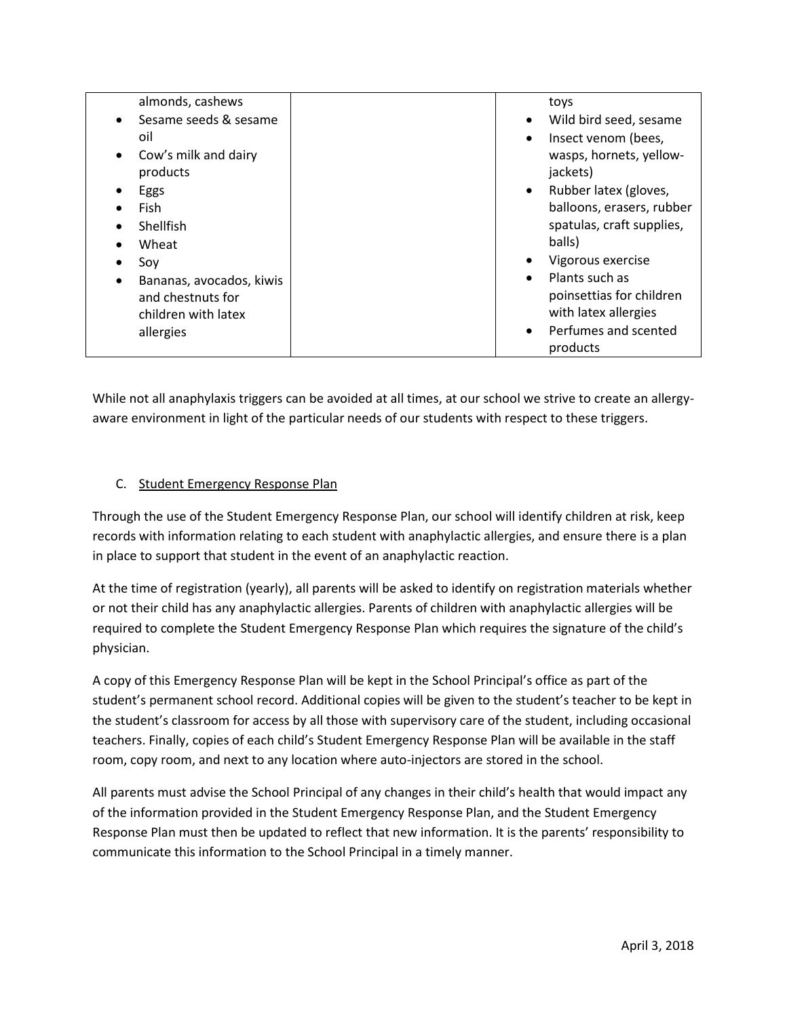| almonds, cashews                   |           | toys                      |
|------------------------------------|-----------|---------------------------|
| Sesame seeds & sesame<br>$\bullet$ | ٠         | Wild bird seed, sesame    |
|                                    |           |                           |
| oil                                | ٠         | Insect venom (bees,       |
| Cow's milk and dairy<br>$\bullet$  |           | wasps, hornets, yellow-   |
| products                           |           | jackets)                  |
| Eggs                               | $\bullet$ | Rubber latex (gloves,     |
| Fish                               |           | balloons, erasers, rubber |
| Shellfish                          |           | spatulas, craft supplies, |
| Wheat                              |           | balls)                    |
| Soy                                | $\bullet$ | Vigorous exercise         |
| Bananas, avocados, kiwis           | $\bullet$ | Plants such as            |
| and chestnuts for                  |           | poinsettias for children  |
|                                    |           |                           |
| children with latex                |           | with latex allergies      |
| allergies                          | $\bullet$ | Perfumes and scented      |
|                                    |           | products                  |

While not all anaphylaxis triggers can be avoided at all times, at our school we strive to create an allergyaware environment in light of the particular needs of our students with respect to these triggers.

# C. Student Emergency Response Plan

Through the use of the Student Emergency Response Plan, our school will identify children at risk, keep records with information relating to each student with anaphylactic allergies, and ensure there is a plan in place to support that student in the event of an anaphylactic reaction.

At the time of registration (yearly), all parents will be asked to identify on registration materials whether or not their child has any anaphylactic allergies. Parents of children with anaphylactic allergies will be required to complete the Student Emergency Response Plan which requires the signature of the child's physician.

A copy of this Emergency Response Plan will be kept in the School Principal's office as part of the student's permanent school record. Additional copies will be given to the student's teacher to be kept in the student's classroom for access by all those with supervisory care of the student, including occasional teachers. Finally, copies of each child's Student Emergency Response Plan will be available in the staff room, copy room, and next to any location where auto-injectors are stored in the school.

All parents must advise the School Principal of any changes in their child's health that would impact any of the information provided in the Student Emergency Response Plan, and the Student Emergency Response Plan must then be updated to reflect that new information. It is the parents' responsibility to communicate this information to the School Principal in a timely manner.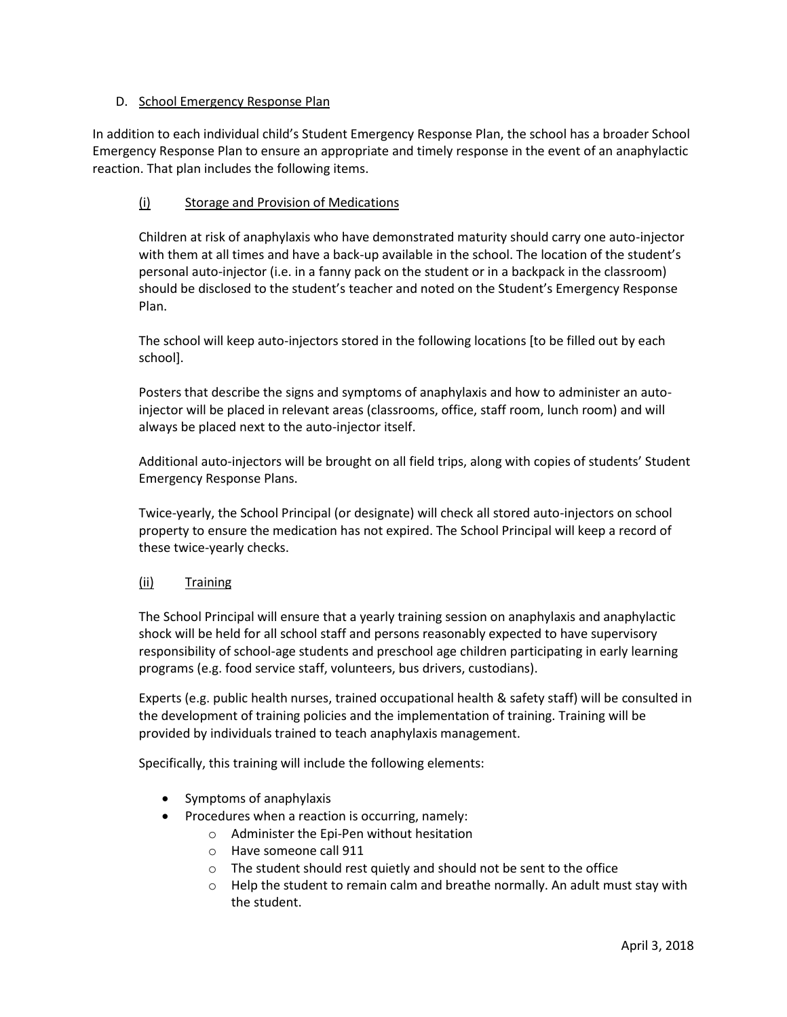# D. School Emergency Response Plan

In addition to each individual child's Student Emergency Response Plan, the school has a broader School Emergency Response Plan to ensure an appropriate and timely response in the event of an anaphylactic reaction. That plan includes the following items.

# (i) Storage and Provision of Medications

Children at risk of anaphylaxis who have demonstrated maturity should carry one auto-injector with them at all times and have a back-up available in the school. The location of the student's personal auto-injector (i.e. in a fanny pack on the student or in a backpack in the classroom) should be disclosed to the student's teacher and noted on the Student's Emergency Response Plan.

The school will keep auto-injectors stored in the following locations [to be filled out by each school].

Posters that describe the signs and symptoms of anaphylaxis and how to administer an autoinjector will be placed in relevant areas (classrooms, office, staff room, lunch room) and will always be placed next to the auto-injector itself.

Additional auto-injectors will be brought on all field trips, along with copies of students' Student Emergency Response Plans.

Twice-yearly, the School Principal (or designate) will check all stored auto-injectors on school property to ensure the medication has not expired. The School Principal will keep a record of these twice-yearly checks.

### (ii) Training

The School Principal will ensure that a yearly training session on anaphylaxis and anaphylactic shock will be held for all school staff and persons reasonably expected to have supervisory responsibility of school-age students and preschool age children participating in early learning programs (e.g. food service staff, volunteers, bus drivers, custodians).

Experts (e.g. public health nurses, trained occupational health & safety staff) will be consulted in the development of training policies and the implementation of training. Training will be provided by individuals trained to teach anaphylaxis management.

Specifically, this training will include the following elements:

- Symptoms of anaphylaxis
- $\bullet$  Procedures when a reaction is occurring, namely:
	- o Administer the Epi-Pen without hesitation
		- o Have someone call 911
	- o The student should rest quietly and should not be sent to the office
	- $\circ$  Help the student to remain calm and breathe normally. An adult must stay with the student.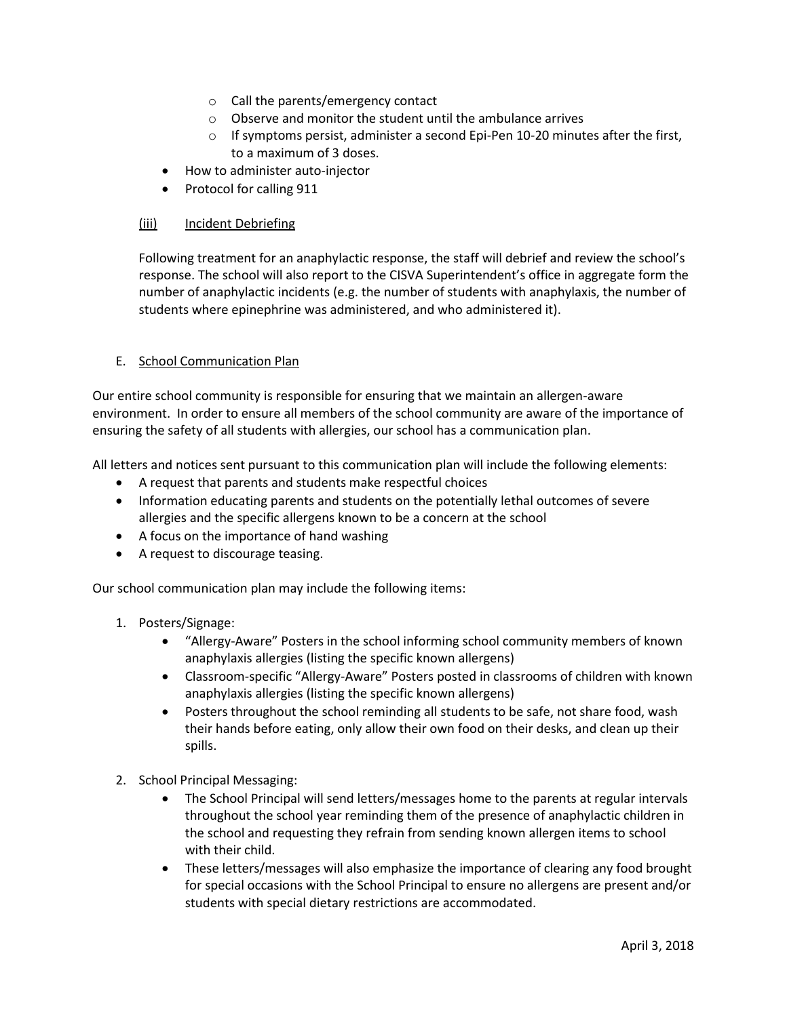- o Call the parents/emergency contact
- o Observe and monitor the student until the ambulance arrives
- o If symptoms persist, administer a second Epi-Pen 10-20 minutes after the first, to a maximum of 3 doses.
- How to administer auto-injector
- Protocol for calling 911

#### (iii) Incident Debriefing

Following treatment for an anaphylactic response, the staff will debrief and review the school's response. The school will also report to the CISVA Superintendent's office in aggregate form the number of anaphylactic incidents (e.g. the number of students with anaphylaxis, the number of students where epinephrine was administered, and who administered it).

#### E. School Communication Plan

Our entire school community is responsible for ensuring that we maintain an allergen-aware environment. In order to ensure all members of the school community are aware of the importance of ensuring the safety of all students with allergies, our school has a communication plan.

All letters and notices sent pursuant to this communication plan will include the following elements:

- A request that parents and students make respectful choices
- Information educating parents and students on the potentially lethal outcomes of severe allergies and the specific allergens known to be a concern at the school
- A focus on the importance of hand washing
- A request to discourage teasing.

Our school communication plan may include the following items:

### 1. Posters/Signage:

- "Allergy-Aware" Posters in the school informing school community members of known anaphylaxis allergies (listing the specific known allergens)
- Classroom-specific "Allergy-Aware" Posters posted in classrooms of children with known anaphylaxis allergies (listing the specific known allergens)
- Posters throughout the school reminding all students to be safe, not share food, wash their hands before eating, only allow their own food on their desks, and clean up their spills.
- 2. School Principal Messaging:
	- The School Principal will send letters/messages home to the parents at regular intervals throughout the school year reminding them of the presence of anaphylactic children in the school and requesting they refrain from sending known allergen items to school with their child.
	- These letters/messages will also emphasize the importance of clearing any food brought for special occasions with the School Principal to ensure no allergens are present and/or students with special dietary restrictions are accommodated.